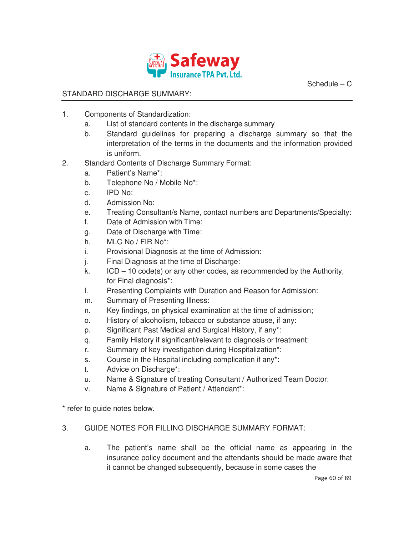

Schedule – C

## STANDARD DISCHARGE SUMMARY:

- 1. Components of Standardization:
	- a. List of standard contents in the discharge summary
	- b. Standard guidelines for preparing a discharge summary so that the interpretation of the terms in the documents and the information provided is uniform.
- 2. Standard Contents of Discharge Summary Format:
	- a. Patient's Name\*:
	- b. Telephone No / Mobile No\*:
	- c. IPD No:
	- d. Admission No:
	- e. Treating Consultant/s Name, contact numbers and Departments/Specialty:
	- f. Date of Admission with Time:
	- g. Date of Discharge with Time:
	- h. MLC No / FIR No\*:
	- i. Provisional Diagnosis at the time of Admission:
	- j. Final Diagnosis at the time of Discharge:
	- k. ICD 10 code(s) or any other codes, as recommended by the Authority, for Final diagnosis\*:
	- l. Presenting Complaints with Duration and Reason for Admission:
	- m. Summary of Presenting Illness:
	- n. Key findings, on physical examination at the time of admission;
	- o. History of alcoholism, tobacco or substance abuse, if any:
	- p. Significant Past Medical and Surgical History, if any\*:
	- q. Family History if significant/relevant to diagnosis or treatment:
	- r. Summary of key investigation during Hospitalization\*:
	- s. Course in the Hospital including complication if any\*:
	- t. Advice on Discharge\*:
	- u. Name & Signature of treating Consultant / Authorized Team Doctor:
	- v. Name & Signature of Patient / Attendant\*:

\* refer to guide notes below.

## 3. GUIDE NOTES FOR FILLING DISCHARGE SUMMARY FORMAT:

a. The patient's name shall be the official name as appearing in the insurance policy document and the attendants should be made aware that it cannot be changed subsequently, because in some cases the